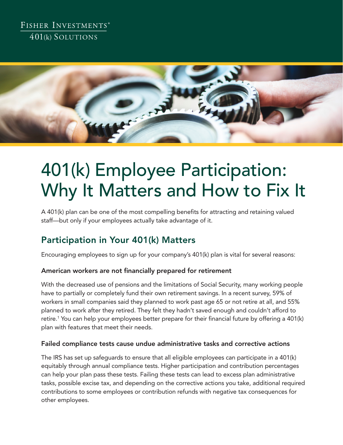## FISHER INVESTMENTS® 401(k) SOLUTIONS



# 401(k) Employee Participation: Why It Matters and How to Fix It

A 401(k) plan can be one of the most compelling benefits for attracting and retaining valued staff—but only if your employees actually take advantage of it.

## Participation in Your 401(k) Matters

Encouraging employees to sign up for your company's 401(k) plan is vital for several reasons:

#### American workers are not financially prepared for retirement

With the decreased use of pensions and the limitations of Social Security, many working people have to partially or completely fund their own retirement savings. In a recent survey, 59% of workers in small companies said they planned to work past age 65 or not retire at all, and 55% planned to work after they retired. They felt they hadn't saved enough and couldn't afford to retire.1 You can help your employees better prepare for their financial future by offering a 401(k) plan with features that meet their needs.

#### Failed compliance tests cause undue administrative tasks and corrective actions

The IRS has set up safeguards to ensure that all eligible employees can participate in a 401(k) equitably through annual compliance tests. Higher participation and contribution percentages can help your plan pass these tests. Failing these tests can lead to excess plan administrative tasks, possible excise tax, and depending on the corrective actions you take, additional required contributions to some employees or contribution refunds with negative tax consequences for other employees.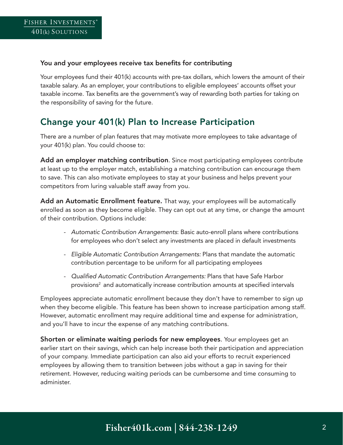#### You and your employees receive tax benefits for contributing

Your employees fund their 401(k) accounts with pre-tax dollars, which lowers the amount of their taxable salary. As an employer, your contributions to eligible employees' accounts offset your taxable income. Tax benefits are the government's way of rewarding both parties for taking on the responsibility of saving for the future.

## Change your 401(k) Plan to Increase Participation

There are a number of plan features that may motivate more employees to take advantage of your 401(k) plan. You could choose to:

Add an employer matching contribution. Since most participating employees contribute at least up to the employer match, establishing a matching contribution can encourage them to save. This can also motivate employees to stay at your business and helps prevent your competitors from luring valuable staff away from you.

Add an Automatic Enrollment feature. That way, your employees will be automatically enrolled as soon as they become eligible. They can opt out at any time, or change the amount of their contribution. Options include:

- *Automatic Contribution Arrangements*: Basic auto-enroll plans where contributions for employees who don't select any investments are placed in default investments
- *Eligible Automatic Contribution Arrangements:* Plans that mandate the automatic contribution percentage to be uniform for all participating employees
- *Qualified Automatic Contribution Arrangements:* Plans that have Safe Harbor provisions2 and automatically increase contribution amounts at specified intervals

Employees appreciate automatic enrollment because they don't have to remember to sign up when they become eligible. This feature has been shown to increase participation among staff. However, automatic enrollment may require additional time and expense for administration, and you'll have to incur the expense of any matching contributions.

Shorten or eliminate waiting periods for new employees. Your employees get an earlier start on their savings, which can help increase both their participation and appreciation of your company. Immediate participation can also aid your efforts to recruit experienced employees by allowing them to transition between jobs without a gap in saving for their retirement. However, reducing waiting periods can be cumbersome and time consuming to administer.